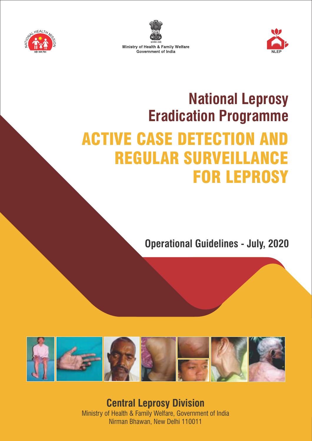





# **National Leprosy Eradication Programme ACTIVE CASE DETECTION A REGULAR SURVEILLA** FOR LEPROSY

**Operational Guidelines - July, 2020** 



**Central Leprosy Division** Ministry of Health & Family Welfare, Government of India Nirman Bhawan, New Delhi 110011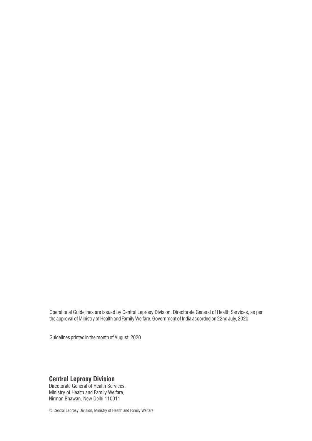Operational Guidelines are issued by Central Leprosy Division, Directorate General of Health Services, as per the approval of Ministry of Health and Family Welfare, Government of India accorded on 22nd July, 2020.

Guidelines printed in the month of August, 2020

#### **Central Leprosy Division**

Directorate General of Health Services, Ministry of Health and Family Welfare, Nirman Bhawan, New Delhi 110011

© Central Leprosy Division, Ministry of Health and Family Welfare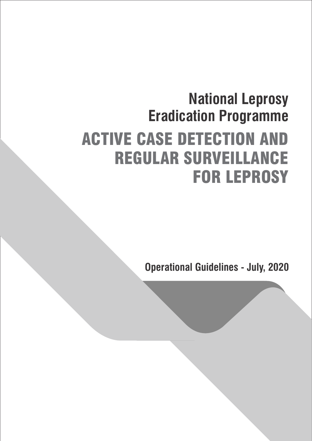# **National Leprosy Eradication Programme** ACTIVE CASE DETECTION AND REGULAR SURVEILLANCE FOR LEPROSY

**Operational Guidelines - July, 2020**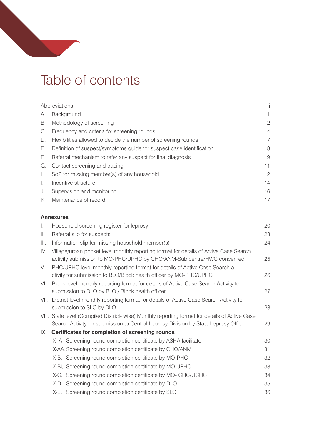# Table of contents

|    | Abbreviations                                                        |              |
|----|----------------------------------------------------------------------|--------------|
| А. | Background                                                           | 1.           |
| В. | Methodology of screening                                             | $\mathbf{2}$ |
| C. | Frequency and criteria for screening rounds                          | 4            |
| D. | Flexibilities allowed to decide the number of screening rounds       | 7            |
| Е. | Definition of suspect/symptoms guide for suspect case identification | 8            |
| E. | Referral mechanism to refer any suspect for final diagnosis          | 9            |
| G. | Contact screening and tracing                                        | 11           |
| Н. | SoP for missing member(s) of any household                           | 12           |
| Ι. | Incentive structure                                                  | 14           |
| J. | Supervision and monitoring                                           | 16           |
| Κ. | Maintenance of record                                                | 17           |
|    |                                                                      |              |
|    | <b>Annexures</b>                                                     |              |
| Τ. | Household screening register for leprosy                             | 20           |
| Ш. | Referral slip for suspects                                           | 23           |

| III. | Information slip for missing household member(s)                                                                                                                                       | 24 |
|------|----------------------------------------------------------------------------------------------------------------------------------------------------------------------------------------|----|
| IV.  | Village/urban pocket level monthly reporting format for details of Active Case Search<br>activity submission to MO-PHC/UPHC by CHO/ANM-Sub centre/HWC concerned                        | 25 |
| V.   | PHC/UPHC level monthly reporting format for details of Active Case Search a<br>ctivity for submission to BLO/Block health officer by MO-PHC/UPHC                                       | 26 |
| VI.  | Block level monthly reporting format for details of Active Case Search Activity for<br>submission to DLO by BLO / Block health officer                                                 | 27 |
|      | VII. District level monthly reporting format for details of Active Case Search Activity for<br>submission to SLO by DLO                                                                | 28 |
|      | VIII. State level (Compiled District- wise) Monthly reporting format for details of Active Case<br>Search Activity for submission to Central Leprosy Division by State Leprosy Officer | 29 |
| IX.  | Certificates for completion of screening rounds                                                                                                                                        |    |
|      | IX- A. Screening round completion certificate by ASHA facilitator                                                                                                                      | 30 |
|      | IX-AA. Screening round completion certificate by CHO/ANM                                                                                                                               | 31 |
|      | IX-B. Screening round completion certificate by MO-PHC                                                                                                                                 | 32 |
|      | IX-BU. Screening round completion certificate by MO UPHC                                                                                                                               | 33 |
|      | IX-C. Screening round completion certificate by MO- CHC/UCHC                                                                                                                           | 34 |
|      | IX-D. Screening round completion certificate by DLO                                                                                                                                    | 35 |
|      | IX-E. Screening round completion certificate by SLO                                                                                                                                    | 36 |
|      |                                                                                                                                                                                        |    |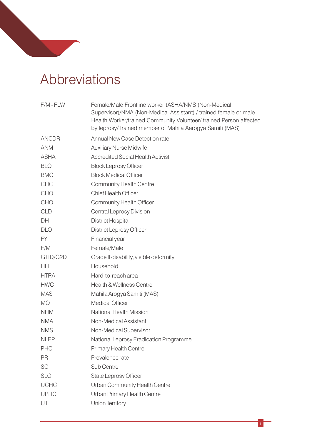# Abbreviations

| $F/M$ - $FLW$ | Female/Male Frontline worker (ASHA/NMS (Non-Medical<br>Supervisor)/NMA (Non-Medical Assistant) / trained female or male<br>Health Worker/trained Community Volunteer/ trained Person affected<br>by leprosy/ trained member of Mahila Aarogya Samiti (MAS) |
|---------------|------------------------------------------------------------------------------------------------------------------------------------------------------------------------------------------------------------------------------------------------------------|
| <b>ANCDR</b>  | Annual New Case Detection rate                                                                                                                                                                                                                             |
| <b>ANM</b>    | <b>Auxiliary Nurse Midwife</b>                                                                                                                                                                                                                             |
| <b>ASHA</b>   | <b>Accredited Social Health Activist</b>                                                                                                                                                                                                                   |
| <b>BLO</b>    | <b>Block Leprosy Officer</b>                                                                                                                                                                                                                               |
| <b>BMO</b>    | <b>Block Medical Officer</b>                                                                                                                                                                                                                               |
| <b>CHC</b>    | <b>Community Health Centre</b>                                                                                                                                                                                                                             |
| <b>CHO</b>    | <b>Chief Health Officer</b>                                                                                                                                                                                                                                |
| <b>CHO</b>    | <b>Community Health Officer</b>                                                                                                                                                                                                                            |
| <b>CLD</b>    | Central Leprosy Division                                                                                                                                                                                                                                   |
| DH            | District Hospital                                                                                                                                                                                                                                          |
| <b>DLO</b>    | <b>District Leprosy Officer</b>                                                                                                                                                                                                                            |
| <b>FY</b>     | Financial year                                                                                                                                                                                                                                             |
| F/M           | Female/Male                                                                                                                                                                                                                                                |
| GIID/G2D      | Grade II disability, visible deformity                                                                                                                                                                                                                     |
| <b>HH</b>     | Household                                                                                                                                                                                                                                                  |
| <b>HTRA</b>   | Hard-to-reach area                                                                                                                                                                                                                                         |
| <b>HWC</b>    | Health & Wellness Centre                                                                                                                                                                                                                                   |
| <b>MAS</b>    | Mahila Arogya Samiti (MAS)                                                                                                                                                                                                                                 |
| <b>MO</b>     | <b>Medical Officer</b>                                                                                                                                                                                                                                     |
| <b>NHM</b>    | National Health Mission                                                                                                                                                                                                                                    |
| <b>NMA</b>    | Non-Medical Assistant                                                                                                                                                                                                                                      |
| <b>NMS</b>    | Non-Medical Supervisor                                                                                                                                                                                                                                     |
| <b>NLEP</b>   | National Leprosy Eradication Programme                                                                                                                                                                                                                     |
| <b>PHC</b>    | Primary Health Centre                                                                                                                                                                                                                                      |
| PR            | Prevalence rate                                                                                                                                                                                                                                            |
| SC            | Sub Centre                                                                                                                                                                                                                                                 |
| <b>SLO</b>    | State Leprosy Officer                                                                                                                                                                                                                                      |
| <b>UCHC</b>   | Urban Community Health Centre                                                                                                                                                                                                                              |
| <b>UPHC</b>   | Urban Primary Health Centre                                                                                                                                                                                                                                |
| UT            | <b>Union Territory</b>                                                                                                                                                                                                                                     |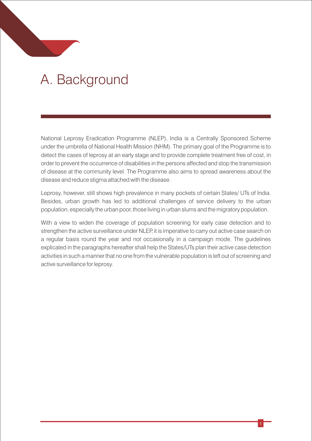# A.Background

National Leprosy Eradication Programme (NLEP), India is a Centrally Sponsored Scheme under the umbrella of National Health Mission (NHM). The primary goal of the Programme is to detect the cases of leprosy at an early stage and to provide complete treatment free of cost, in order to prevent the occurrence of disabilities in the persons affected and stop the transmission of disease at the community level. The Programme also aims to spread awareness about the disease and reduce stigma attached with the disease.

Leprosy, however, still shows high prevalence in many pockets of certain States/ UTs of India. Besides, urban growth has led to additional challenges of service delivery to the urban population, especially the urban poor, those living in urban slums and the migratory population.

With a view to widen the coverage of population screening for early case detection and to strengthen the active surveillance under NLEP, it is imperative to carry out active case search on a regular basis round the year and not occasionally in a campaign mode. The guidelines explicated in the paragraphs hereafter shall help the States/UTs plan their active case detection activities in such a manner that no one from the vulnerable population is left out of screening and active surveillance for leprosy.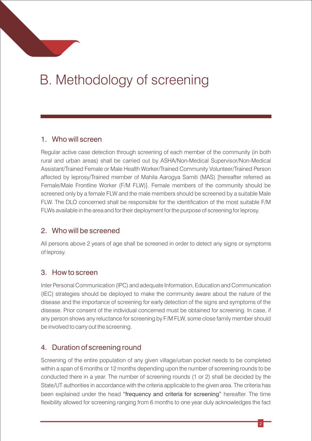# B.Methodology of screening

#### 1. Who will screen

Regular active case detection through screening of each member of the community (in both rural and urban areas) shall be carried out by ASHA/Non-Medical Supervisor/Non-Medical Assistant/Trained Female or Male Health Worker/Trained Community Volunteer/Trained Person affected by leprosy/Trained member of Mahila Aarogya Samiti (MAS) [hereafter referred as Female/Male Frontline Worker (F/M FLW)]. Female members of the community should be screened only by a female FLW and the male members should be screened by a suitable Male FLW. The DLO concerned shall be responsible for the identification of the most suitable F/M FLWs available in the area and for their deployment for the purpose of screening for leprosy.

#### 2. Who will be screened

All persons above 2 years of age shall be screened in order to detect any signs or symptoms of leprosy.

#### 3. How to screen

Inter Personal Communication (IPC) and adequate Information, Education and Communication (IEC) strategies should be deployed to make the community aware about the nature of the disease and the importance of screening for early detection of the signs and symptoms of the disease. Prior consent of the individual concerned must be obtained for screening. In case, if any person shows any reluctance for screening by F/M FLW, some close family member should be involved to carry out the screening.

#### 4. Duration of screening round

Screening of the entire population of any given village/urban pocket needs to be completed within a span of 6 months or 12 months depending upon the number of screening rounds to be conducted there in a year. The number of screening rounds (1 or 2) shall be decided by the State/UT authorities in accordance with the criteria applicable to the given area. The criteria has been explained under the head "frequency and criteria for screening" hereafter. The time flexibility allowed for screening ranging from 6 months to one year duly acknowledges the fact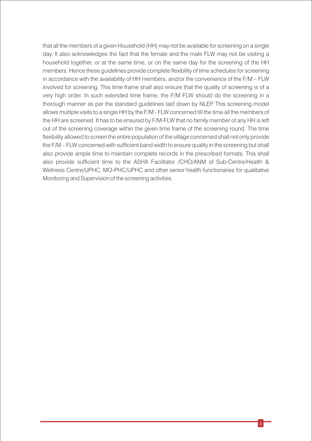that all the members of a given Household (HH) may not be available for screening on a single day. It also acknowledges the fact that the female and the male FLW may not be visiting a household together, or at the same time, or on the same day for the screening of the HH members. Hence these guidelines provide complete flexibility of time schedules for screening in accordance with the availability of HH members, and/or the convenience of the F/M – FLW involved for screening. This time frame shall also ensure that the quality of screening is of a very high order. In such extended time frame, the F/M FLW should do the screening in a thorough manner as per the standard guidelines laid down by NLEP. This screening model allows multiple visits to a single HH by the F/M - FLW concerned till the time all the members of the HH are screened. It has to be ensured by F/M-FLW that no family member of any HH is left out of the screening coverage within the given time frame of the screening round. The time flexibility allowed to screen the entire population of the village concerned shall not only provide the F/M – FLW concerned with sufficient band width to ensure quality in the screening but shall also provide ample time to maintain complete records in the prescribed formats. This shall also provide sufficient time to the ASHA Facilitator /CHO/ANM of Sub-Centre/Health & Wellness Centre/UPHC, MO-PHC/UPHC and other senior health functionaries for qualitative Monitoring and Supervision of the screening activities.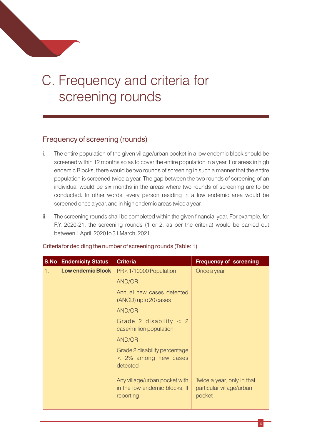# C.Frequency and criteria for screening rounds

#### Frequency of screening (rounds)

- i. The entire population of the given village/urban pocket in a low endemic block should be screened within 12 months so as to cover the entire population in a year. For areas in high endemic Blocks, there would be two rounds of screening in such a manner that the entire population is screened twice a year. The gap between the two rounds of screening of an individual would be six months in the areas where two rounds of screening are to be conducted. In other words, every person residing in a low endemic area would be screened once a year, and in high endemic areas twice a year.
- ii. The screening rounds shall be completed within the given financial year. For example, for F.Y. 2020-21, the screening rounds (1 or 2, as per the criteria) would be carried out between 1 April, 2020 to 31 March, 2021.

|    | <b>S.No   Endemicity Status</b> | <b>Criteria</b>                                                             | <b>Frequency of screening</b>                                    |
|----|---------------------------------|-----------------------------------------------------------------------------|------------------------------------------------------------------|
| 1. | <b>Low endemic Block</b>        | PR<1/10000 Population                                                       | Once a year                                                      |
|    |                                 | AND/OR                                                                      |                                                                  |
|    |                                 | Annual new cases detected<br>(ANCD) upto 20 cases                           |                                                                  |
|    |                                 | AND/OR                                                                      |                                                                  |
|    |                                 | Grade 2 disability $<$ 2<br>case/million population                         |                                                                  |
|    |                                 | AND/OR                                                                      |                                                                  |
|    |                                 | Grade 2 disability percentage<br>< 2% among new cases<br>detected           |                                                                  |
|    |                                 | Any village/urban pocket with<br>in the low endemic blocks, If<br>reporting | Twice a year, only in that<br>particular village/urban<br>pocket |

Criteria for deciding the number of screening rounds (Table: 1)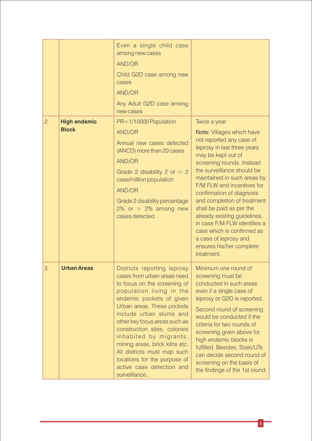|                  |                                     | Even a single child case<br>among new cases<br><b>AND/OR</b><br>Child G2D case among new<br>cases<br><b>AND/OR</b><br>Any Adult G2D case among<br>new cases                                                                                                                                                                                                                                                                                          |                                                                                                                                                                                                                                                                                                                                                                                                                                                                                                             |
|------------------|-------------------------------------|------------------------------------------------------------------------------------------------------------------------------------------------------------------------------------------------------------------------------------------------------------------------------------------------------------------------------------------------------------------------------------------------------------------------------------------------------|-------------------------------------------------------------------------------------------------------------------------------------------------------------------------------------------------------------------------------------------------------------------------------------------------------------------------------------------------------------------------------------------------------------------------------------------------------------------------------------------------------------|
| $\overline{2}$ . | <b>High endemic</b><br><b>Block</b> | PR > 1/10000 Population<br><b>AND/OR</b><br>Annual new cases detected<br>(ANCD) more than 20 cases<br><b>AND/OR</b><br>Grade 2 disability 2 or $> 2$<br>case/million population<br><b>AND/OR</b><br>Grade 2 disability percentage<br>2% or $> 2%$ among new<br>cases detected                                                                                                                                                                        | Twice a year<br>Note: Villages which have<br>not reported any case of<br>leprosy in last three years<br>may be kept out of<br>screening rounds. Instead<br>the surveillance should be<br>maintained in such areas by<br>F/M FLW and incentives for<br>confirmation of diagnosis<br>and completion of treatment<br>shall be paid as per the<br>already existing guidelines,<br>in case F/M FLW identifies a<br>case which is confirmed as<br>a case of leprosy and<br>ensures his/her complete<br>treatment. |
| 3.               | <b>Urban Areas</b>                  | Districts reporting leprosy<br>cases from urban areas need<br>to focus on the screening of<br>population living in the<br>endemic pockets of given<br>Urban areas. These pockets<br>include urban slums and<br>other key focus areas such as<br>construction sites, colonies<br>inhabited by migrants,<br>mining areas, brick kilns etc.<br>All districts must map such<br>locations for the purpose of<br>active case detection and<br>surveillance | Minimum one round of<br>screening must be<br>conducted in such areas<br>even if a single case of<br>leprosy or G2D is reported.<br>Second round of screening<br>would be conducted if the<br>criteria for two rounds of<br>screening given above for<br>high endemic blocks is<br>fulfilled. Besides, State/UTs<br>can decide second round of<br>screening on the basis of<br>the findings of the 1st round.                                                                                                |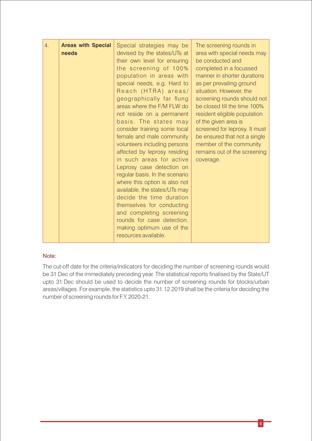| <b>Areas with Special</b><br>4.<br>needs | Special strategies may be<br>devised by the states/UTs at<br>their own level for ensuring<br>the screening of 100%<br>population in areas with<br>special needs, e.g. Hard to<br>Reach (HTRA) areas/<br>geographically far flung<br>areas where the F/M FLW do<br>not reside on a permanent<br>basis. The states may<br>consider training some local<br>female and male community<br>volunteers including persons<br>affected by leprosy residing<br>in such areas for active<br>Leprosy case detection on<br>regular basis. In the scenario<br>where this option is also not<br>available, the states/UTs may<br>decide the time duration<br>themselves for conducting<br>and completing screening<br>rounds for case detection,<br>making optimum use of the<br>resources available. | The screening rounds in<br>area with special needs may<br>be conducted and<br>completed in a focussed<br>manner in shorter durations<br>as per prevailing ground<br>situation. However, the<br>screening rounds should not<br>be closed till the time 100%<br>resident eligible population<br>of the given area is<br>screened for leprosy. It must<br>be ensured that not a single<br>member of the community<br>remains out of the screening<br>coverage. |
|------------------------------------------|----------------------------------------------------------------------------------------------------------------------------------------------------------------------------------------------------------------------------------------------------------------------------------------------------------------------------------------------------------------------------------------------------------------------------------------------------------------------------------------------------------------------------------------------------------------------------------------------------------------------------------------------------------------------------------------------------------------------------------------------------------------------------------------|-------------------------------------------------------------------------------------------------------------------------------------------------------------------------------------------------------------------------------------------------------------------------------------------------------------------------------------------------------------------------------------------------------------------------------------------------------------|
|------------------------------------------|----------------------------------------------------------------------------------------------------------------------------------------------------------------------------------------------------------------------------------------------------------------------------------------------------------------------------------------------------------------------------------------------------------------------------------------------------------------------------------------------------------------------------------------------------------------------------------------------------------------------------------------------------------------------------------------------------------------------------------------------------------------------------------------|-------------------------------------------------------------------------------------------------------------------------------------------------------------------------------------------------------------------------------------------------------------------------------------------------------------------------------------------------------------------------------------------------------------------------------------------------------------|

#### Note:

The cut-off date for the criteria/indicators for deciding the number of screening rounds would be 31 Dec of the immediately preceding year. The statistical reports finalised by the State/UT upto 31 Dec should be used to decide the number of screening rounds for blocks/urban areas/villages. For example, the statistics upto 31.12.2019 shall be the criteria for deciding the number of screening rounds for F.Y. 2020-21.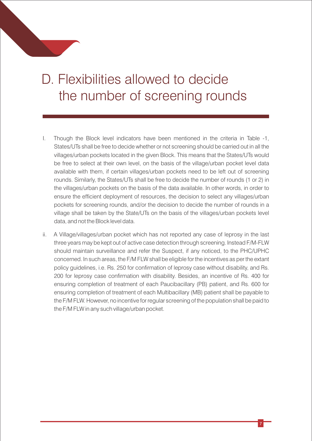# D. Flexibilities allowed to decide the number of screening rounds

- I. Though the Block level indicators have been mentioned in the criteria in Table -1, States/UTs shall be free to decide whether or not screening should be carried out in all the villages/urban pockets located in the given Block. This means that the States/UTs would be free to select at their own level, on the basis of the village/urban pocket level data available with them, if certain villages/urban pockets need to be left out of screening rounds. Similarly, the States/UTs shall be free to decide the number of rounds (1 or 2) in the villages/urban pockets on the basis of the data available. In other words, in order to ensure the efficient deployment of resources, the decision to select any villages/urban pockets for screening rounds, and/or the decision to decide the number of rounds in a village shall be taken by the State/UTs on the basis of the villages/urban pockets level data, and not the Block level data.
- ii. A Village/villages/urban pocket which has not reported any case of leprosy in the last three years may be kept out of active case detection through screening. Instead F/M-FLW should maintain surveillance and refer the Suspect, if any noticed, to the PHC/UPHC concerned. In such areas, the F/M FLW shall be eligible for the incentives as per the extant policy guidelines, i.e. Rs. 250 for confirmation of leprosy case without disability, and Rs. 200 for leprosy case confirmation with disability. Besides, an incentive of Rs. 400 for ensuring completion of treatment of each Paucibacillary (PB) patient, and Rs. 600 for ensuring completion of treatment of each Multibacillary (MB) patient shall be payable to the F/M FLW. However, no incentive for regular screening of the population shall be paid to the F/M FLW in any such village/urban pocket.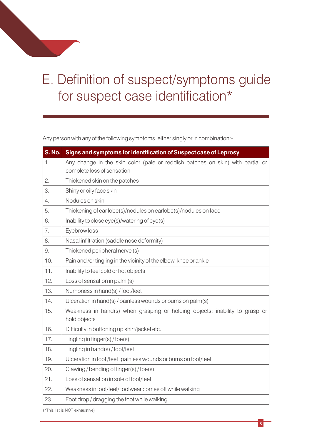# E. Definition of suspect/symptoms guide for suspect case identification\*

Any person with any of the following symptoms, either singly or in combination:-

| <b>S. No.</b> | Signs and symptoms for identification of Suspect case of Leprosy                            |
|---------------|---------------------------------------------------------------------------------------------|
| 1.            | Any change in the skin color (pale or reddish patches on skin) with partial or              |
|               | complete loss of sensation                                                                  |
| 2.            | Thickened skin on the patches                                                               |
| 3.            | Shiny or oily face skin                                                                     |
| 4.            | Nodules on skin                                                                             |
| 5.            | Thickening of ear lobe(s)/nodules on earlobe(s)/nodules on face                             |
| 6.            | Inability to close eye(s)/watering of eye(s)                                                |
| 7.            | Eyebrow loss                                                                                |
| 8.            | Nasal infiltration (saddle nose deformity)                                                  |
| 9.            | Thickened peripheral nerve (s)                                                              |
| 10.           | Pain and /or tingling in the vicinity of the elbow, knee or ankle                           |
| 11.           | Inability to feel cold or hot objects                                                       |
| 12.           | Loss of sensation in palm (s)                                                               |
| 13.           | Numbness in hand(s) / foot/feet                                                             |
| 14.           | Ulceration in hand(s) / painless wounds or burns on palm(s)                                 |
| 15.           | Weakness in hand(s) when grasping or holding objects; inability to grasp or<br>hold objects |
| 16.           | Difficulty in buttoning up shirt/jacket etc.                                                |
| 17.           | Tingling in finger(s)/toe(s)                                                                |
| 18.           | Tingling in hand(s) / foot/feet                                                             |
| 19.           | Ulceration in foot/feet; painless wounds or burns on foot/feet                              |
| 20.           | Clawing/bending of finger(s)/toe(s)                                                         |
| 21.           | Loss of sensation in sole of foot/feet                                                      |
| 22.           | Weakness in foot/feet/footwear comes off while walking                                      |
| 23.           | Foot drop / dragging the foot while walking                                                 |

(\*This list is NOT exhaustive)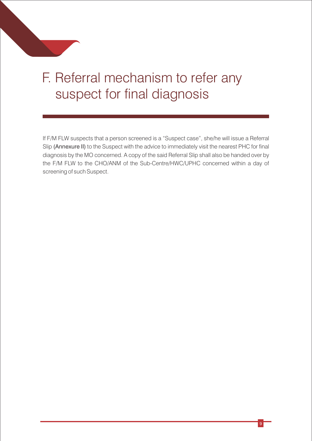# F. Referral mechanism to refer any suspect for final diagnosis

If F/M FLW suspects that a person screened is a "Suspect case", she/he will issue a Referral Slip (Annexure II) to the Suspect with the advice to immediately visit the nearest PHC for final diagnosis by the MO concerned. A copy of the said Referral Slip shall also be handed over by the F/M FLW to the CHO/ANM of the Sub-Centre/HWC/UPHC concerned within a day of screening of such Suspect.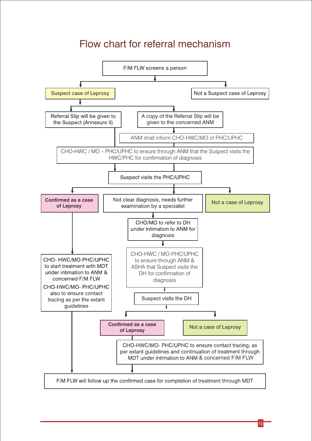### Flow chart for referral mechanism

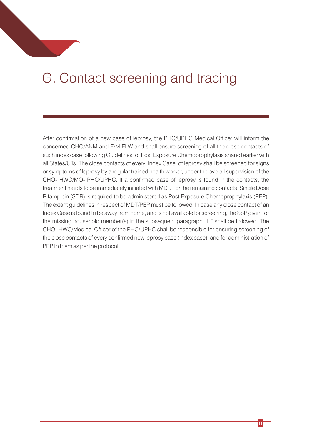# G.Contact screening and tracing

After confirmation of a new case of leprosy, the PHC/UPHC Medical Officer will inform the concerned CHO/ANM and F/M FLW and shall ensure screening of all the close contacts of such index case following Guidelines for Post Exposure Chemoprophylaxis shared earlier with all States/UTs. The close contacts of every 'Index Case' of leprosy shall be screened for signs or symptoms of leprosy by a regular trained health worker, under the overall supervision of the CHO- HWC/MO- PHC/UPHC. If a confirmed case of leprosy is found in the contacts, the treatment needs to be immediately initiated with MDT. For the remaining contacts, Single Dose Rifampicin (SDR) is required to be administered as Post Exposure Chemoprophylaxis (PEP). The extant guidelines in respect of MDT/PEP must be followed. In case any close contact of an Index Case is found to be away from home, and is not available for screening, the SoP given for the missing household member(s) in the subsequent paragraph "H" shall be followed. The CHO- HWC/Medical Officer of the PHC/UPHC shall be responsible for ensuring screening of the close contacts of every confirmed new leprosy case (index case), and for administration of PEP to them as per the protocol.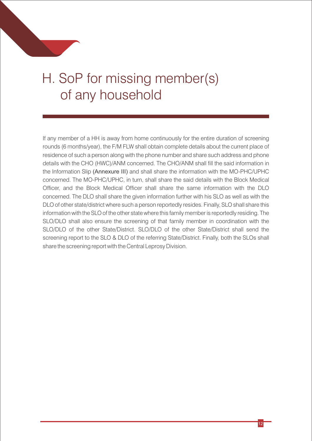# H. SoP for missing member(s) of any household

If any member of a HH is away from home continuously for the entire duration of screening rounds (6 months/year), the F/M FLW shall obtain complete details about the current place of residence of such a person along with the phone number and share such address and phone details with the CHO (HWC)/ANM concerned. The CHO/ANM shall fill the said information in the Information Slip (Annexure III) and shall share the information with the MO-PHC/UPHC concerned. The MO-PHC/UPHC, in turn, shall share the said details with the Block Medical Officer, and the Block Medical Officer shall share the same information with the DLO concerned. The DLO shall share the given information further with his SLO as well as with the DLO of other state/district where such a person reportedly resides. Finally, SLO shall share this information with the SLO of the other state where this family member is reportedly residing. The SLO/DLO shall also ensure the screening of that family member in coordination with the SLO/DLO of the other State/District. SLO/DLO of the other State/District shall send the screening report to the SLO & DLO of the referring State/District. Finally, both the SLOs shall share the screening report with the Central Leprosy Division.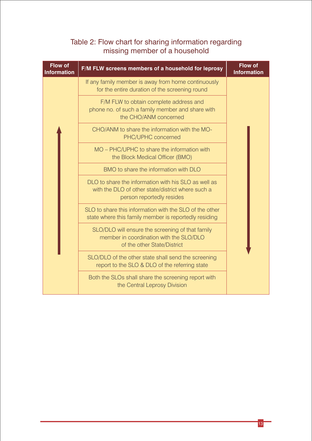#### Table 2: Flow chart for sharing information regarding missing member of a household

| <b>Flow of</b><br><b>Information</b> | F/M FLW screens members of a household for leprosy                                                                                     | <b>Flow of</b><br><b>Information</b> |
|--------------------------------------|----------------------------------------------------------------------------------------------------------------------------------------|--------------------------------------|
|                                      | If any family member is away from home continuously<br>for the entire duration of the screening round                                  |                                      |
|                                      | F/M FLW to obtain complete address and<br>phone no. of such a family member and share with<br>the CHO/ANM concerned                    |                                      |
|                                      | CHO/ANM to share the information with the MO-<br>PHC/UPHC concerned                                                                    |                                      |
|                                      | MO – PHC/UPHC to share the information with<br>the Block Medical Officer (BMO)                                                         |                                      |
|                                      | BMO to share the information with DLO                                                                                                  |                                      |
|                                      | DLO to share the information with his SLO as well as<br>with the DLO of other state/district where such a<br>person reportedly resides |                                      |
|                                      | SLO to share this information with the SLO of the other<br>state where this family member is reportedly residing                       |                                      |
|                                      | SLO/DLO will ensure the screening of that family<br>member in coordination with the SLO/DLO<br>of the other State/District             |                                      |
|                                      | SLO/DLO of the other state shall send the screening<br>report to the SLO & DLO of the referring state                                  |                                      |
|                                      | Both the SLOs shall share the screening report with<br>the Central Leprosy Division                                                    |                                      |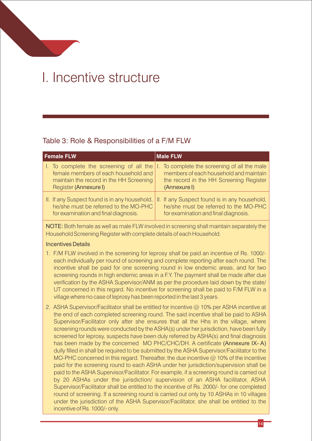## I.Incentive structure

#### Table 3: Role & Responsibilities of a F/M FLW

| <b>Female FLW</b>                                     | Male FLW                                      |
|-------------------------------------------------------|-----------------------------------------------|
| I. To complete the screening of all the $  \cdot  $ . | To complete the screening of all the male     |
| female members of each household and                  | members of each household and maintain        |
| maintain the record in the HH Screening               | the record in the HH Screening Register       |
| Register (Annexure I)                                 | (Annexure I)                                  |
| II. If any Suspect found is in any household,         | II. If any Suspect found is in any household, |
| he/she must be referred to the MO-PHC                 | he/she must be referred to the MO-PHC         |
| for examination and final diagnosis.                  | for examination and final diagnosis.          |

NOTE: Both female as well as male FLW involved in screening shall maintain separately the Household Screening Register with complete details of each Household.

#### Incentives Details

- 1. F/M FLW involved in the screening for leprosy shall be paid an incentive of Rs. 1000/ each individually per round of screening and complete reporting after each round. The incentive shall be paid for one screening round in low endemic areas, and for two screening rounds in high endemic areas in a F.Y. The payment shall be made after due verification by the ASHA Supervisor/ANM as per the procedure laid down by the state/ UT concerned in this regard. No incentive for screening shall be paid to F/M FLW in a village where no case of leprosy has been reported in the last 3 years.
- 2. ASHA Supervisor/Facilitator shall be entitled for incentive @ 10% per ASHA incentive at the end of each completed screening round. The said incentive shall be paid to ASHA Supervisor/Facilitator only after she ensures that all the Hhs in the village, where screening rounds were conducted by the ASHA(s) under her jurisdiction, have been fully screened for leprosy, suspects have been duly referred by ASHA(s) and final diagnosis has been made by the concerned MO PHC/CHC/DH. A certificate (Annexure IX-A) dully filled in shall be required to be submitted by the ASHA Supervisor/Facilitator to the MO-PHC concerned in this regard. Thereafter, the due incentive  $\omega$  10% of the incentive paid for the screening round to each ASHA under her jurisdiction/supervision shall be paid to the ASHA Supervisor/Facilitator. For example, if a screening round is carried out by 20 ASHAs under the jurisdiction/ supervision of an ASHA facilitator, ASHA Supervisor/Facilitator shall be entitled to the incentive of Rs. 2000/- for one completed round of screening. If a screening round is carried out only by 10 ASHAs in 10 villages under the jurisdiction of the ASHA Supervisor/Facilitator, she shall be entitled to the incentive of Rs. 1000/- only.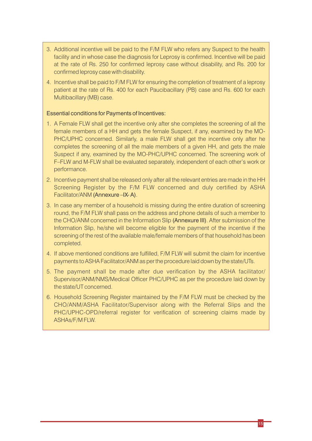- 3. Additional incentive will be paid to the F/M FLW who refers any Suspect to the health facility and in whose case the diagnosis for Leprosy is confirmed. Incentive will be paid at the rate of Rs. 250 for conrmed leprosy case without disability, and Rs. 200 for confirmed leprosy case with disability.
- 4. Incentive shall be paid to F/M FLW for ensuring the completion of treatment of a leprosy patient at the rate of Rs. 400 for each Paucibacillary (PB) case and Rs. 600 for each Multibacillary (MB) case.

#### Essential conditions for Payments of Incentives:

- 1. A Female FLW shall get the incentive only after she completes the screening of all the female members of a HH and gets the female Suspect, if any, examined by the MO-PHC/UPHC concerned. Similarly, a male FLW shall get the incentive only after he completes the screening of all the male members of a given HH, and gets the male Suspect if any, examined by the MO-PHC/UPHC concerned. The screening work of F–FLW and M-FLW shall be evaluated separately, independent of each other's work or performance.
- 2. Incentive payment shall be released only after all the relevant entries are made in the HH Screening Register by the F/M FLW concerned and duly certified by ASHA Facilitator/ANM (Annexure – IX-A).
- 3. In case any member of a household is missing during the entire duration of screening round, the F/M FLW shall pass on the address and phone details of such a member to the CHO/ANM concerned in the Information Slip (Annexure III). After submission of the Information Slip, he/she will become eligible for the payment of the incentive if the screening of the rest of the available male/female members of that household has been completed.
- 4. If above mentioned conditions are fulfilled, F/M FLW will submit the claim for incentive payments to ASHA Facilitator/ANM as per the procedure laid down by the state/UTs.
- 5. The payment shall be made after due verification by the ASHA facilitator/ Supervisor/ANM/NMS/Medical Officer PHC/UPHC as per the procedure laid down by the state/UT concerned.
- 6. Household Screening Register maintained by the F/M FLW must be checked by the CHO/ANM/ASHA Facilitator/Supervisor along with the Referral Slips and the PHC/UPHC-OPD/referral register for verification of screening claims made by ASHAs/F/M FLW.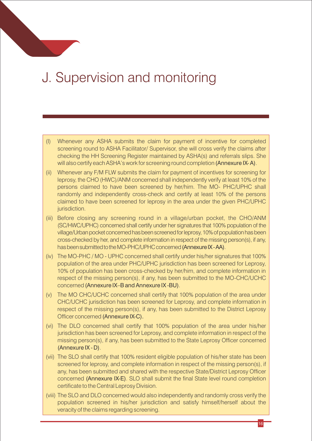## J.Supervision and monitoring

- (I) Whenever any ASHA submits the claim for payment of incentive for completed screening round to ASHA Facilitator/ Supervisor, she will cross verify the claims after checking the HH Screening Register maintained by ASHA(s) and referrals slips. She will also certify each ASHA's work for screening round completion (Annexure IX-A).
- (ii) Whenever any F/M FLW submits the claim for payment of incentives for screening for leprosy, the CHO (HWC)/ANM concerned shall independently verify at least 10% of the persons claimed to have been screened by her/him. The MO- PHC/UPHC shall randomly and independently cross-check and certify at least 10% of the persons claimed to have been screened for leprosy in the area under the given PHC/UPHC jurisdiction.
- (iii) Before closing any screening round in a village/urban pocket, the CHO/ANM (SC/HWC/UPHC) concerned shall certify under her signatures that 100% population of the village/Urban pocket concerned has been screened for leprosy, 10% of population has been cross-checked by her, and complete information in respect of the missing person(s), if any, has been submitted to the MO-PHC/UPHC concerned (Annexure IX-AA).
- (iv) The MO-PHC / MO UPHC concerned shall certify under his/her signatures that 100% population of the area under PHC/UPHC jurisdiction has been screened for Leprosy, 10% of population has been cross-checked by her/him, and complete information in respect of the missing person(s), if any, has been submitted to the MO-CHC/UCHC concerned (Annexure IX–B and Annexure IX -BU).
- (v) The MO CHC/UCHC concerned shall certify that 100% population of the area under CHC/UCHC jurisdiction has been screened for Leprosy, and complete information in respect of the missing person(s), if any, has been submitted to the District Leprosy Officer concerned (Annexure IX-C).
- (vi) The DLO concerned shall certify that 100% population of the area under his/her jurisdiction has been screened for Leprosy, and complete information in respect of the missing person(s), if any, has been submitted to the State Leprosy Officer concerned (Annexure IX - D).
- (vii) The SLO shall certify that 100% resident eligible population of his/her state has been screened for leprosy, and complete information in respect of the missing person(s), if any, has been submitted and shared with the respective State/District Leprosy Officer concerned (Annexure IX-E). SLO shall submit the final State level round completion certificate to the Central Leprosy Division.
- (viii) The SLO and DLO concerned would also independently and randomly cross verify the population screened in his/her jurisdiction and satisfy himself/herself about the veracity of the claims regarding screening.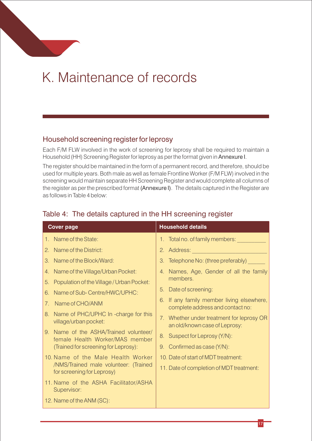# K.Maintenance of records

#### Household screening register for leprosy

Each F/M FLW involved in the work of screening for leprosy shall be required to maintain a Household (HH) Screening Register for leprosy as per the format given in Annexure I.

The register should be maintained in the form of a permanent record, and therefore, should be used for multiple years. Both male as well as female Frontline Worker (F/M FLW) involved in the screening would maintain separate HH Screening Register and would complete all columns of the register as per the prescribed format (Annexure I). The details captured in the Register are as follows in Table 4 below:

| <b>Cover page</b>                                                         | <b>Household details</b>                                                      |
|---------------------------------------------------------------------------|-------------------------------------------------------------------------------|
| 1. Name of the State:                                                     | 1. Total no. of family members:                                               |
| Name of the District:<br>$2_{-}$                                          | 2. Address: <b>Address:</b> 2. Address:                                       |
| Name of the Block/Ward:<br>$3_{-}$                                        | 3. Telephone No: (three preferably)                                           |
| Name of the Village/Urban Pocket:<br>4.                                   | 4. Names, Age, Gender of all the family                                       |
| Population of the Village / Urban Pocket:<br>5.                           | members.                                                                      |
| Name of Sub-Centre/HWC/UPHC:<br>6.                                        | 5. Date of screening:                                                         |
| Name of CHO/ANM<br>7.                                                     | 6. If any family member living elsewhere,<br>complete address and contact no: |
| Name of PHC/UPHC In -charge for this<br>8.<br>village/urban pocket:       | 7. Whether under treatment for leprosy OR<br>an old/known case of Leprosy:    |
| 9. Name of the ASHA/Trained volunteer/<br>female Health Worker/MAS member | Suspect for Leprosy (Y/N):<br>8.                                              |
| (Trained for screening for Leprosy):                                      | 9. Confirmed as case (Y/N):                                                   |
| 10. Name of the Male Health Worker                                        | 10. Date of start of MDT treatment:                                           |
| /NMS/Trained male volunteer: (Trained<br>for screening for Leprosy)       | 11. Date of completion of MDT treatment:                                      |
| 11. Name of the ASHA Facilitator/ASHA<br>Supervisor:                      |                                                                               |
| 12. Name of the ANM (SC):                                                 |                                                                               |

#### Table 4: The details captured in the HH screening register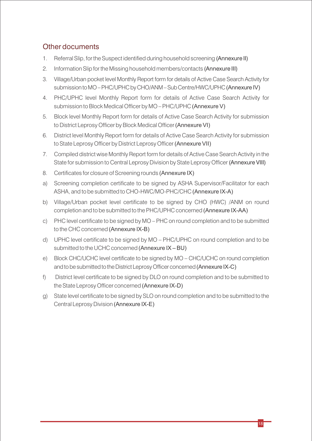#### Other documents

- 1. Referral Slip, for the Suspect identified during household screening (Annexure II)
- 2. Information Slip for the Missing household members/contacts (Annexure III)
- 3. Village/Urban pocket level Monthly Report form for details of Active Case Search Activity for submission to MO–PHC/UPHC by CHO/ANM–Sub Centre/HWC/UPHC (Annexure IV)
- 4. PHC/UPHC level Monthly Report form for details of Active Case Search Activity for submission to Block Medical Officer by MO – PHC/UPHC (Annexure V)
- 5. Block level Monthly Report form for details of Active Case Search Activity for submission to District Leprosy Officer by Block Medical Officer (Annexure VI)
- 6. District level Monthly Report form for details of Active Case Search Activity for submission to State Leprosy Officer by District Leprosy Officer (Annexure VII)
- 7. Compiled district wise Monthly Report form for details of Active Case Search Activity in the State for submission to Central Leprosy Division by State Leprosy Officer (Annexure VIII)
- 8. Certificates for closure of Screening rounds (Annexure IX)
- a) Screening completion certificate to be signed by ASHA Supervisor/Facilitator for each ASHA, and to be submitted to CHO-HWC/MO-PHC/CHC (Annexure IX-A)
- b) Village/Urban pocket level certificate to be signed by CHO (HWC) /ANM on round completion and to be submitted to the PHC/UPHC concerned (Annexure IX-AA)
- c) PHC level certificate to be signed by MO PHC on round completion and to be submitted to the CHC concerned (Annexure IX-B)
- d) UPHC level certicate to be signed by MO PHC/UPHC on round completion and to be submitted to the UCHC concerned (Annexure IX – BU)
- e) Block CHC/UCHC level certificate to be signed by MO CHC/UCHC on round completion and to be submitted to the District Leprosy Officer concerned (Annexure IX-C)
- f) District level certificate to be signed by DLO on round completion and to be submitted to the State Leprosy Officer concerned (Annexure IX-D)
- g) State level certificate to be signed by SLO on round completion and to be submitted to the Central Leprosy Division (Annexure IX-E)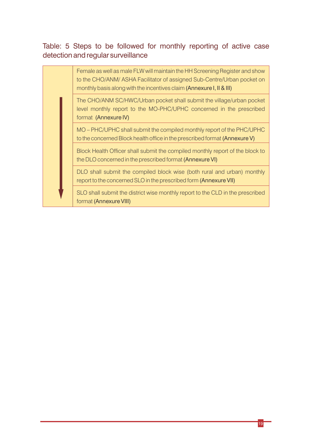#### Table: 5 Steps to be followed for monthly reporting of active case detection and regular surveillance

Female as well as male FLW will maintain the HH Screening Register and show to the CHO/ANM/ ASHA Facilitator of assigned Sub-Centre/Urban pocket on monthly basis along with the incentives claim (Annexure I, II & III)

The CHO/ANM SC/HWC/Urban pocket shall submit the village/urban pocket level monthly report to the MO-PHC/UPHC concerned in the prescribed format (Annexure IV)

MO – PHC/UPHC shall submit the compiled monthly report of the PHC/UPHC to the concerned Block health office in the prescribed format (Annexure V)

Block Health Officer shall submit the compiled monthly report of the block to the DLO concerned in the prescribed format (Annexure VI)

DLO shall submit the compiled block wise (both rural and urban) monthly report to the concerned SLO in the prescribed form (Annexure VII)

SLO shall submit the district wise monthly report to the CLD in the prescribed format (Annexure VIII)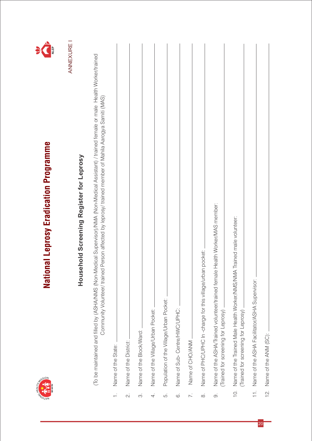

# National Leprosy Eradication Programme



ANNEXURE I ANNEXURE I

# Household Screening Register for Leprosy **Household Screening Register for Leprosy**

(To be maintained and filled by (ASHA/NMS (Non-Medical Supervisor)/NMA (Non-Medical Assistant) / trained female or male Health Worker/trained (To be maintained and lled by (ASHA/NMS (Non-Medical Supervisor)/NMA (Non-Medical Assistant) / trained female or male Health Worker/trained Community Volunteer/ trained Person affected by leprosy/ trained member of Mahila Aarogya Samiti (MAS) Community Volunteer/ trained Person affected by leprosy/ trained member of Mahila Aarogya Samiti (MAS)

|                   | Name of the State:                                                                                                 |
|-------------------|--------------------------------------------------------------------------------------------------------------------|
| $\overline{\sim}$ | Name of the District:                                                                                              |
| က်                | Name of the Block/Ward:                                                                                            |
|                   |                                                                                                                    |
| 4.                | Name of the Village/Urban Pocket:                                                                                  |
| ξ.                | Population of the Village/Urban Pocket:                                                                            |
| $\dot{\circ}$     | Name of Sub-Centre/HWC/UPHC:                                                                                       |
| 7.                | Name of CHO/ANM                                                                                                    |
| $\infty$          | Name of PHC/UPHC In-charge for this village/urban pocket:                                                          |
|                   |                                                                                                                    |
| တ                 | Name of the ASHA/Trained volunteer/trained female Health Worker/MAS member:<br>(Trained for screening for Leprosy) |
|                   | 10. Name of the Trained Male Health Worker/NMS/NMA Trained male volunteer:<br>(Trained for screening for Leprosy)  |
|                   | 11. Name of the ASHA Facilitator/ASHA Supervisor:                                                                  |
| $\frac{1}{2}$     | Name of the ANM (SC):                                                                                              |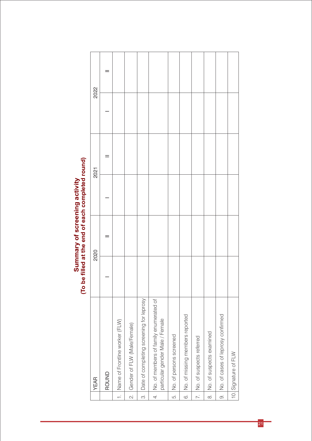# Summary of screening activity<br>(To be filled at the end of each completed round) **(To be filled at the end of each completed round) Summary of screening activity**

|                | <b>YEAR</b>                                                               | 2020 | 2021 | 2022 |  |
|----------------|---------------------------------------------------------------------------|------|------|------|--|
|                | ROUND                                                                     |      |      |      |  |
|                | 1. Name of Frontline worker (FLW)                                         |      |      |      |  |
| $\sim$         | Gender of FLW (Male/Female)                                               |      |      |      |  |
| $\dot{\infty}$ | Date of completing screening for leprosy                                  |      |      |      |  |
| $\overline{4}$ | No. of members of family enumerated of<br>particular gender Male / Female |      |      |      |  |
| Б.             | No. of persons screened                                                   |      |      |      |  |
| $\ddot{\circ}$ | No. of missing members reported                                           |      |      |      |  |
| $\overline{z}$ | No. of suspects referred                                                  |      |      |      |  |
| $\infty$       | No. of suspects examined                                                  |      |      |      |  |
| $\infty$       | No. of cases of leprosy confirmed                                         |      |      |      |  |
|                | 10. Signature of FLW                                                      |      |      |      |  |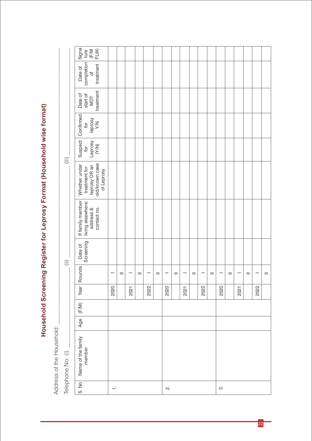Household Screening Register for Leprosy Format (Household wise format) **Household Screening Register for Leprosy Format (Household wise format)**

Address of the Household:  $\pm$ Address of the Household:

|                          | Signa<br>ture<br>(F/M<br>FLW)                                                   |        |     |      |     |      |     |                          |     |      |     |      |     |      |     |      |     |      |     |
|--------------------------|---------------------------------------------------------------------------------|--------|-----|------|-----|------|-----|--------------------------|-----|------|-----|------|-----|------|-----|------|-----|------|-----|
|                          | completion<br>treatment<br>Date of                                              |        |     |      |     |      |     |                          |     |      |     |      |     |      |     |      |     |      |     |
|                          | treatment<br>Date of<br>start of<br>MDT                                         |        |     |      |     |      |     |                          |     |      |     |      |     |      |     |      |     |      |     |
|                          | Confirmed<br>Ieprosy<br>YN<br>$\overline{5}$                                    |        |     |      |     |      |     |                          |     |      |     |      |     |      |     |      |     |      |     |
| $\widehat{(\text{iii)}}$ | Suspect<br>for<br>Leprosy<br>(Y/N)                                              |        |     |      |     |      |     |                          |     |      |     |      |     |      |     |      |     |      |     |
|                          | old/known case<br>Whether under<br>leprosy OR an<br>treatment for<br>of Leprosy |        |     |      |     |      |     |                          |     |      |     |      |     |      |     |      |     |      |     |
|                          | If family member<br>living elsewhere:<br>contact no.<br>address &               |        |     |      |     |      |     |                          |     |      |     |      |     |      |     |      |     |      |     |
| $\widehat{\equiv}$       | Screening<br>Date of                                                            |        |     |      |     |      |     |                          |     |      |     |      |     |      |     |      |     |      |     |
|                          | Rounds                                                                          |        | $=$ |      | $=$ |      | $=$ |                          | $=$ |      | $=$ |      | $=$ |      | $=$ |      | $=$ |      | $=$ |
|                          | Year                                                                            | 2020   |     | 2021 |     | 2022 |     | 2020                     |     | 2021 |     | 2022 |     | 2020 |     | 2021 |     | 2022 |     |
|                          | (F/M)                                                                           |        |     |      |     |      |     |                          |     |      |     |      |     |      |     |      |     |      |     |
|                          | Age                                                                             |        |     |      |     |      |     |                          |     |      |     |      |     |      |     |      |     |      |     |
| Telephone No: (i).       | Name of the family<br>member                                                    |        |     |      |     |      |     |                          |     |      |     |      |     |      |     |      |     |      |     |
|                          | $\begin{array}{c} 0.7 \\ 0.7 \end{array}$                                       | $\div$ |     |      |     |      |     | $\overline{\mathcal{N}}$ |     |      |     |      |     | က်   |     |      |     |      |     |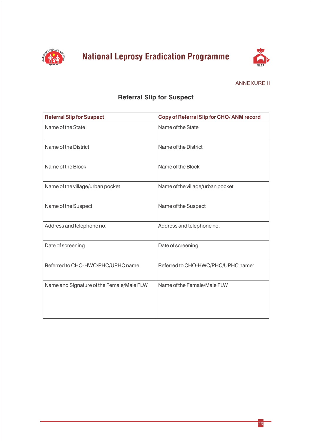



#### ANNEXURE II

#### **Referral Slip for Suspect**

| <b>Referral Slip for Suspect</b>          | Copy of Referral Slip for CHO/ANM record |
|-------------------------------------------|------------------------------------------|
| Name of the State                         | Name of the State                        |
| Name of the District                      | Name of the District                     |
| Name of the Block                         | Name of the Block                        |
| Name of the village/urban pocket          | Name of the village/urban pocket         |
| Name of the Suspect                       | Name of the Suspect                      |
| Address and telephone no.                 | Address and telephone no.                |
| Date of screening                         | Date of screening                        |
| Referred to CHO-HWC/PHC/UPHC name:        | Referred to CHO-HWC/PHC/UPHC name:       |
| Name and Signature of the Female/Male FLW | Name of the Female/Male FLW              |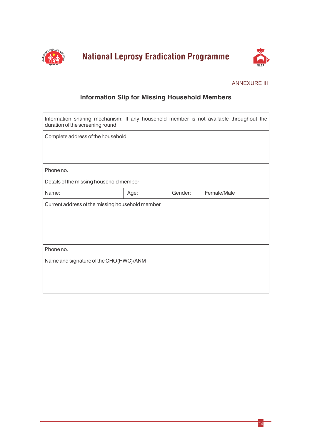



#### ANNEXURE III

#### **Information Slip for Missing Household Members**

| Information sharing mechanism: If any household member is not available throughout the<br>duration of the screening round |      |         |             |  |
|---------------------------------------------------------------------------------------------------------------------------|------|---------|-------------|--|
| Complete address of the household                                                                                         |      |         |             |  |
|                                                                                                                           |      |         |             |  |
|                                                                                                                           |      |         |             |  |
| Phone no.                                                                                                                 |      |         |             |  |
| Details of the missing household member                                                                                   |      |         |             |  |
| Name:                                                                                                                     | Age: | Gender: | Female/Male |  |
| Current address of the missing household member                                                                           |      |         |             |  |
|                                                                                                                           |      |         |             |  |
|                                                                                                                           |      |         |             |  |
|                                                                                                                           |      |         |             |  |
| Phone no.                                                                                                                 |      |         |             |  |
| Name and signature of the CHO(HWC)/ANM                                                                                    |      |         |             |  |
|                                                                                                                           |      |         |             |  |
|                                                                                                                           |      |         |             |  |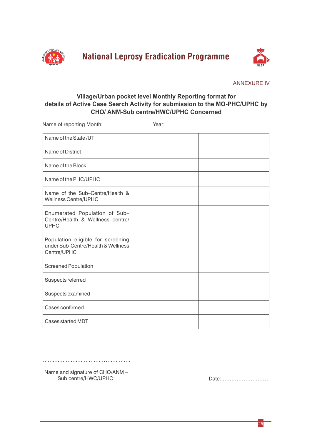



ANNEXURE IV

#### **Village/Urban pocket level Monthly Reporting format for details of Active Case Search Activity for submission to the MO-PHC/UPHC by CHO/ ANM-Sub centre/HWC/UPHC Concerned**

Name of reporting Month: Year:

| Name of the State/UT                                                                   |  |
|----------------------------------------------------------------------------------------|--|
| Name of District                                                                       |  |
| Name of the Block                                                                      |  |
| Name of the PHC/UPHC                                                                   |  |
| Name of the Sub-Centre/Health &<br><b>Wellness Centre/UPHC</b>                         |  |
| Enumerated Population of Sub-<br>Centre/Health & Wellness centre/<br><b>UPHC</b>       |  |
| Population eligible for screening<br>under Sub-Centre/Health & Wellness<br>Centre/UPHC |  |
| <b>Screened Population</b>                                                             |  |
| Suspects referred                                                                      |  |
| Suspects examined                                                                      |  |
| Cases confirmed                                                                        |  |
| <b>Cases started MDT</b>                                                               |  |

………………………………………

Name and signature of CHO/ANM –<br>Sub centre/HWC/UPHC:

Date: ………………………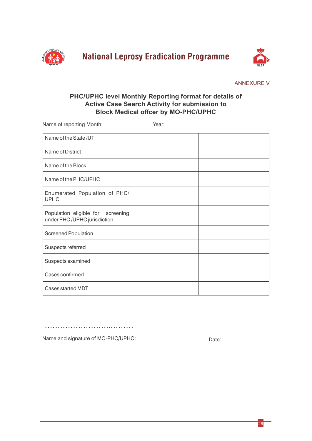

**National Leprosy Eradication Programme** 



ANNEXURE V

#### **PHC/UPHC level Monthly Reporting format for details of Active Case Search Activity for submission to Block Medical offcer by MO-PHC/UPHC**

Name of reporting Month: Year:

| Name of the State/UT                                             |  |
|------------------------------------------------------------------|--|
| Name of District                                                 |  |
| Name of the Block                                                |  |
| Name of the PHC/UPHC                                             |  |
| Enumerated Population of PHC/<br><b>UPHC</b>                     |  |
| Population eligible for screening<br>under PHC/UPHC jurisdiction |  |
| <b>Screened Population</b>                                       |  |
| Suspects referred                                                |  |
| Suspects examined                                                |  |
| Cases confirmed                                                  |  |
| Cases started MDT                                                |  |

Name and signature of MO-PHC/UPHC: Date: ………………………

……………………..………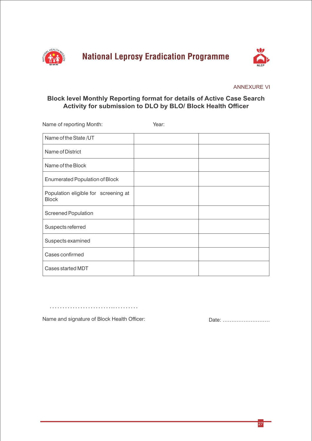



#### ANNEXURE VI

#### **Block level Monthly Reporting format for details of Active Case Search Activity for submission to DLO by BLO/ Block Health Officer**

| Name of reporting Month:                             | Year: |  |
|------------------------------------------------------|-------|--|
| Name of the State/UT                                 |       |  |
| Name of District                                     |       |  |
| Name of the Block                                    |       |  |
| <b>Enumerated Population of Block</b>                |       |  |
| Population eligible for screening at<br><b>Block</b> |       |  |
| Screened Population                                  |       |  |
| Suspects referred                                    |       |  |
| Suspects examined                                    |       |  |
| Cases confirmed                                      |       |  |
| Cases started MDT                                    |       |  |

……………………………………………

Name and signature of Block Health Officer: Date: ...............................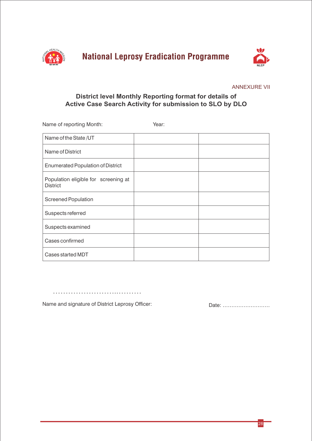



ANNEXURE VII

#### **District level Monthly Reporting format for details of Active Case Search Activity for submission to SLO by DLO**

Screened Population Cases confirmed Population eligible for screening at **District** Suspects examined Suspects referred Name of District Cases started MDT Name of the State /UT Enumerated Population of District Name of reporting Month: Year:

…………………………………………

Name and signature of District Leprosy Officer: Date: ...........................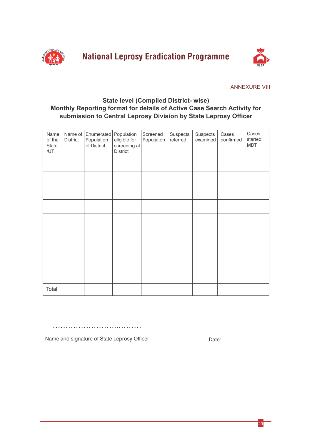



#### ANNEXURE VIII

#### **State level (Compiled District- wise) Monthly Reporting format for details of Active Case Search Activity for submission to Central Leprosy Division by State Leprosy Officer**

| Name<br>of the<br>State<br>/UT | <b>District</b> | Name of Enumerated<br>Population<br>of District | Population<br>eligible for<br>screening at<br>District | Screened<br>Population | Suspects<br>referred | Suspects<br>examined | Cases<br>confirmed | Cases<br>started<br><b>MDT</b> |
|--------------------------------|-----------------|-------------------------------------------------|--------------------------------------------------------|------------------------|----------------------|----------------------|--------------------|--------------------------------|
|                                |                 |                                                 |                                                        |                        |                      |                      |                    |                                |
|                                |                 |                                                 |                                                        |                        |                      |                      |                    |                                |
|                                |                 |                                                 |                                                        |                        |                      |                      |                    |                                |
|                                |                 |                                                 |                                                        |                        |                      |                      |                    |                                |
|                                |                 |                                                 |                                                        |                        |                      |                      |                    |                                |
|                                |                 |                                                 |                                                        |                        |                      |                      |                    |                                |
|                                |                 |                                                 |                                                        |                        |                      |                      |                    |                                |
|                                |                 |                                                 |                                                        |                        |                      |                      |                    |                                |
|                                |                 |                                                 |                                                        |                        |                      |                      |                    |                                |
| Total                          |                 |                                                 |                                                        |                        |                      |                      |                    |                                |

……………………..………

Name and signature of State Leprosy Officer Date: ...............................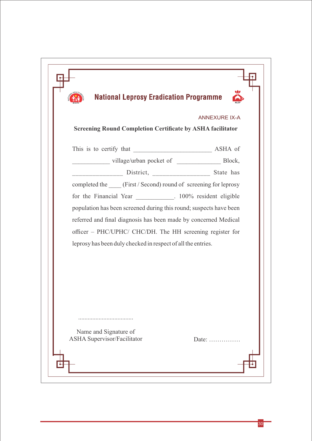| <b>ANNEXURE IX-A</b><br><b>Screening Round Completion Certificate by ASHA facilitator</b><br>completed the _____ (First / Second) round of screening for leprosy<br>for the Financial Year 100% resident eligible<br>population has been screened during this round; suspects have been<br>referred and final diagnosis has been made by concerned Medical<br>officer - PHC/UPHC/ CHC/DH. The HH screening register for<br>leprosy has been duly checked in respect of all the entries.<br>Name and Signature of<br><b>ASHA Supervisor/Facilitator</b><br>Date: | <b>National Leprosy Eradication Programme</b> |  |
|-----------------------------------------------------------------------------------------------------------------------------------------------------------------------------------------------------------------------------------------------------------------------------------------------------------------------------------------------------------------------------------------------------------------------------------------------------------------------------------------------------------------------------------------------------------------|-----------------------------------------------|--|
|                                                                                                                                                                                                                                                                                                                                                                                                                                                                                                                                                                 |                                               |  |
|                                                                                                                                                                                                                                                                                                                                                                                                                                                                                                                                                                 |                                               |  |
|                                                                                                                                                                                                                                                                                                                                                                                                                                                                                                                                                                 |                                               |  |
|                                                                                                                                                                                                                                                                                                                                                                                                                                                                                                                                                                 |                                               |  |
|                                                                                                                                                                                                                                                                                                                                                                                                                                                                                                                                                                 |                                               |  |
|                                                                                                                                                                                                                                                                                                                                                                                                                                                                                                                                                                 |                                               |  |
|                                                                                                                                                                                                                                                                                                                                                                                                                                                                                                                                                                 |                                               |  |
|                                                                                                                                                                                                                                                                                                                                                                                                                                                                                                                                                                 |                                               |  |
|                                                                                                                                                                                                                                                                                                                                                                                                                                                                                                                                                                 |                                               |  |
|                                                                                                                                                                                                                                                                                                                                                                                                                                                                                                                                                                 |                                               |  |
|                                                                                                                                                                                                                                                                                                                                                                                                                                                                                                                                                                 |                                               |  |
|                                                                                                                                                                                                                                                                                                                                                                                                                                                                                                                                                                 |                                               |  |
|                                                                                                                                                                                                                                                                                                                                                                                                                                                                                                                                                                 |                                               |  |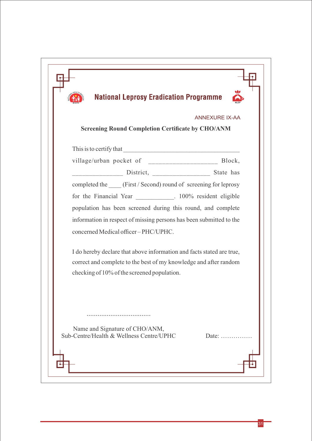| <b>National Leprosy Eradication Programme</b>                                                |
|----------------------------------------------------------------------------------------------|
| <b>ANNEXURE IX-AA</b><br><b>Screening Round Completion Certificate by CHO/ANM</b>            |
| This is to certify that                                                                      |
| village/urban pocket of _________________________ Block,                                     |
|                                                                                              |
| completed the _____ (First / Second) round of screening for leprosy                          |
| for the Financial Year ____________. 100% resident eligible                                  |
| population has been screened during this round, and complete                                 |
| information in respect of missing persons has been submitted to the                          |
| concerned Medical officer-PHC/UPHC.                                                          |
| I do hereby declare that above information and facts stated are true,                        |
| correct and complete to the best of my knowledge and after random                            |
| checking of 10% of the screened population.                                                  |
|                                                                                              |
|                                                                                              |
| Name and Signature of CHO/ANM,<br>Sub-Centre/Health & Wellness Centre/UPHC<br>Date: $\ldots$ |
|                                                                                              |
|                                                                                              |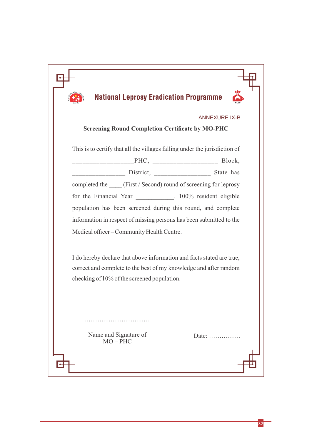| <b>ANNEXURE IX-B</b><br><b>Screening Round Completion Certificate by MO-PHC</b><br>This is to certify that all the villages falling under the jurisdiction of<br>completed the _____ (First / Second) round of screening for leprosy<br>for the Financial Year ___________. 100% resident eligible<br>population has been screened during this round, and complete<br>information in respect of missing persons has been submitted to the<br>Medical officer - Community Health Centre.<br>I do hereby declare that above information and facts stated are true,<br>correct and complete to the best of my knowledge and after random<br>checking of 10% of the screened population. | <b>National Leprosy Eradication Programme</b> |                         |
|--------------------------------------------------------------------------------------------------------------------------------------------------------------------------------------------------------------------------------------------------------------------------------------------------------------------------------------------------------------------------------------------------------------------------------------------------------------------------------------------------------------------------------------------------------------------------------------------------------------------------------------------------------------------------------------|-----------------------------------------------|-------------------------|
|                                                                                                                                                                                                                                                                                                                                                                                                                                                                                                                                                                                                                                                                                      |                                               |                         |
|                                                                                                                                                                                                                                                                                                                                                                                                                                                                                                                                                                                                                                                                                      |                                               |                         |
|                                                                                                                                                                                                                                                                                                                                                                                                                                                                                                                                                                                                                                                                                      |                                               |                         |
|                                                                                                                                                                                                                                                                                                                                                                                                                                                                                                                                                                                                                                                                                      |                                               |                         |
|                                                                                                                                                                                                                                                                                                                                                                                                                                                                                                                                                                                                                                                                                      |                                               |                         |
|                                                                                                                                                                                                                                                                                                                                                                                                                                                                                                                                                                                                                                                                                      |                                               |                         |
|                                                                                                                                                                                                                                                                                                                                                                                                                                                                                                                                                                                                                                                                                      |                                               |                         |
|                                                                                                                                                                                                                                                                                                                                                                                                                                                                                                                                                                                                                                                                                      |                                               |                         |
|                                                                                                                                                                                                                                                                                                                                                                                                                                                                                                                                                                                                                                                                                      |                                               |                         |
|                                                                                                                                                                                                                                                                                                                                                                                                                                                                                                                                                                                                                                                                                      |                                               |                         |
|                                                                                                                                                                                                                                                                                                                                                                                                                                                                                                                                                                                                                                                                                      |                                               |                         |
|                                                                                                                                                                                                                                                                                                                                                                                                                                                                                                                                                                                                                                                                                      | Name and Signature of                         | Date: $\dots\dots\dots$ |
|                                                                                                                                                                                                                                                                                                                                                                                                                                                                                                                                                                                                                                                                                      |                                               |                         |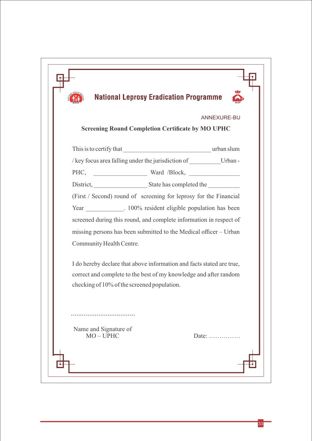| <b>National Leprosy Eradication Programme</b>                         |                |
|-----------------------------------------------------------------------|----------------|
|                                                                       | ANNEXURE-BU    |
| <b>Screening Round Completion Certificate by MO UPHC</b>              |                |
|                                                                       |                |
| /key focus area falling under the jurisdiction of Urban -             |                |
| PHC, Ward /Block,                                                     |                |
| District, State has completed the                                     |                |
| (First / Second) round of screening for leprosy for the Financial     |                |
| Year ___________. 100% resident eligible population has been          |                |
| screened during this round, and complete information in respect of    |                |
| missing persons has been submitted to the Medical officer – Urban     |                |
| Community Health Centre.                                              |                |
| I do hereby declare that above information and facts stated are true, |                |
| correct and complete to the best of my knowledge and after random     |                |
| checking of 10% of the screened population.                           |                |
|                                                                       |                |
| Name and Signature of                                                 |                |
| $MO - UPHC$                                                           | Date: $\ldots$ |
|                                                                       |                |
|                                                                       |                |
|                                                                       |                |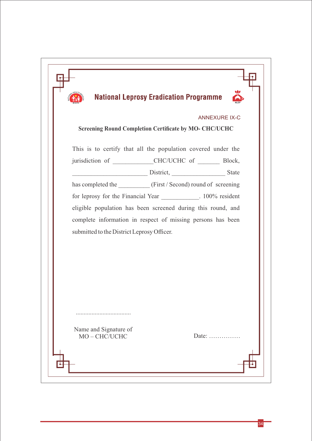|                                            | <b>National Leprosy Eradication Programme</b>                    |
|--------------------------------------------|------------------------------------------------------------------|
|                                            | <b>ANNEXURE IX-C</b>                                             |
|                                            | <b>Screening Round Completion Certificate by MO- CHC/UCHC</b>    |
|                                            | This is to certify that all the population covered under the     |
|                                            | jurisdiction of ____________CHC/UCHC of __________ Block,        |
|                                            | District, State State                                            |
|                                            | has completed the __________ (First / Second) round of screening |
|                                            | for leprosy for the Financial Year __________. 100% resident     |
|                                            | eligible population has been screened during this round, and     |
|                                            | complete information in respect of missing persons has been      |
| submitted to the District Leprosy Officer. |                                                                  |
|                                            |                                                                  |
|                                            |                                                                  |
|                                            |                                                                  |
|                                            |                                                                  |
|                                            |                                                                  |
|                                            |                                                                  |
|                                            |                                                                  |
|                                            |                                                                  |
| Name and Signature of<br>MO-CHC/UCHC       | Date: $\dots \dots \dots \dots$                                  |
|                                            |                                                                  |
|                                            |                                                                  |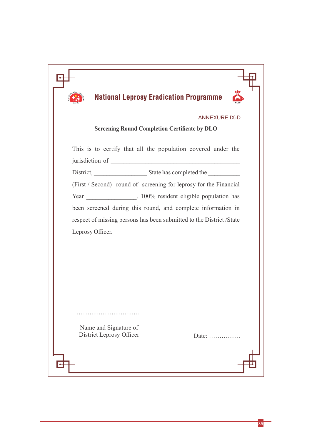| <b>National Leprosy Eradication Programme</b><br><b>ANNEXURE IX-D</b><br><b>Screening Round Completion Certificate by DLO</b> |               |                                                              |  |
|-------------------------------------------------------------------------------------------------------------------------------|---------------|--------------------------------------------------------------|--|
|                                                                                                                               |               | This is to certify that all the population covered under the |  |
|                                                                                                                               |               | jurisdiction of                                              |  |
|                                                                                                                               |               |                                                              |  |
| (First / Second) round of screening for leprosy for the Financial                                                             |               |                                                              |  |
| Year 100% resident eligible population has                                                                                    |               |                                                              |  |
| been screened during this round, and complete information in                                                                  |               |                                                              |  |
| respect of missing persons has been submitted to the District /State                                                          |               |                                                              |  |
| Leprosy Officer.                                                                                                              |               |                                                              |  |
|                                                                                                                               |               |                                                              |  |
|                                                                                                                               |               |                                                              |  |
|                                                                                                                               |               |                                                              |  |
|                                                                                                                               |               |                                                              |  |
|                                                                                                                               |               |                                                              |  |
|                                                                                                                               |               |                                                              |  |
|                                                                                                                               |               |                                                              |  |
|                                                                                                                               |               |                                                              |  |
| Name and Signature of<br>District Leprosy Officer                                                                             | Date: $\dots$ |                                                              |  |
|                                                                                                                               |               |                                                              |  |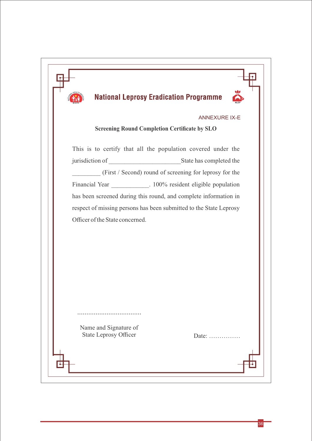